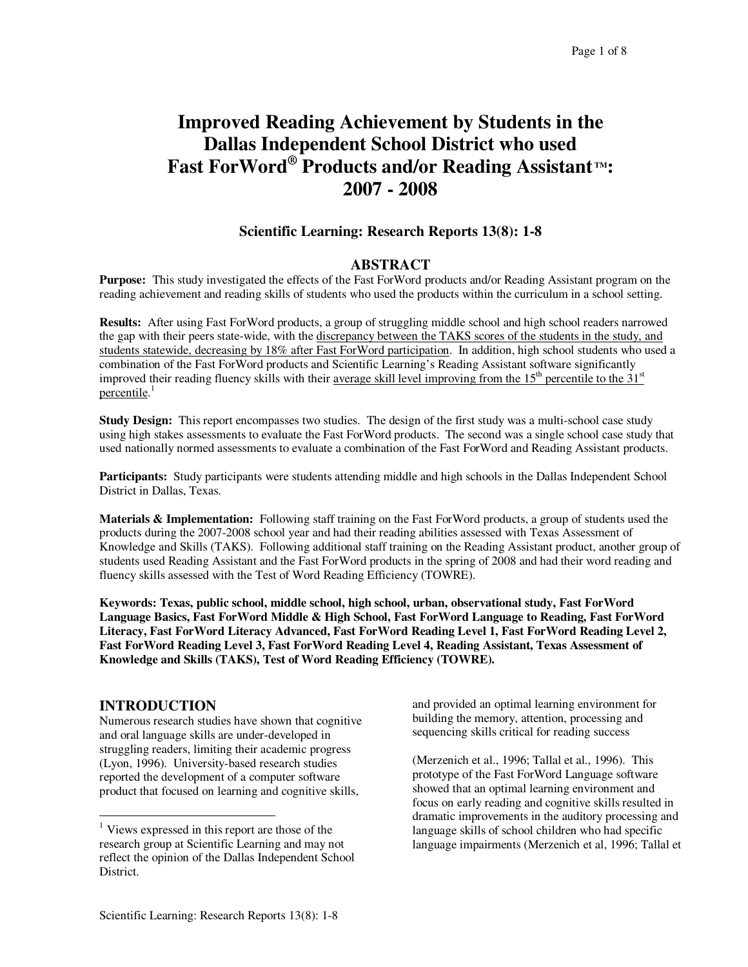# **Improved Reading Achievement by Students in the Dallas Independent School District who used Fast ForWord ® Products and/or Reading Assistant TM: 2007 - 2008**

## **Scientific Learning: Research Reports 13(8): 1-8**

## **ABSTRACT**

**Purpose:** This study investigated the effects of the Fast ForWord products and/or Reading Assistant program on the reading achievement and reading skills of students who used the products within the curriculum in a school setting.

**Results:** After using Fast ForWord products, a group of struggling middle school and high school readers narrowed the gap with their peers state-wide, with the discrepancy between the TAKS scores of the students in the study, and students statewide, decreasing by 18% after Fast ForWord participation. In addition, high school students who used a combination of the Fast ForWord products and Scientific Learning's Reading Assistant software significantly improved their reading fluency skills with their average skill level improving from the 15<sup>th</sup> percentile to the 31<sup>st</sup> percentile.<sup>1</sup>

**Study Design:** This report encompasses two studies. The design of the first study was a multi-school case study using high stakes assessments to evaluate the Fast ForWord products. The second was a single school case study that used nationally normed assessments to evaluate a combination of the Fast ForWord and Reading Assistant products.

**Participants:** Study participants were students attending middle and high schools in the Dallas Independent School District in Dallas, Texas.

**Materials & Implementation:** Following staff training on the Fast ForWord products, a group of students used the products during the 2007-2008 school year and had their reading abilities assessed with Texas Assessment of Knowledge and Skills (TAKS). Following additional staff training on the Reading Assistant product, another group of students used Reading Assistant and the Fast ForWord products in the spring of 2008 and had their word reading and fluency skills assessed with the Test of Word Reading Efficiency (TOWRE).

**Keywords: Texas, public school, middle school, high school, urban, observational study, Fast ForWord Language Basics, Fast ForWord Middle & High School, Fast ForWord Language to Reading, Fast ForWord Literacy, Fast ForWord Literacy Advanced, Fast ForWord Reading Level 1, Fast ForWord Reading Level 2, Fast ForWord Reading Level 3, Fast ForWord Reading Level 4, Reading Assistant, Texas Assessment of Knowledge and Skills (TAKS), Test of Word Reading Efficiency (TOWRE).**

## **INTRODUCTION 1**

Numerous research studies have shown that cognitive and oral language skills are under-developed in struggling readers, limiting their academic progress (Lyon, 1996). University-based research studies reported the development of a computer software product that focused on learning and cognitive skills,

and provided an optimal learning environment for building the memory, attention, processing and sequencing skills critical for reading success

(Merzenich et al., 1996; Tallal et al., 1996). This prototype of the Fast ForWord Language software showed that an optimal learning environment and focus on early reading and cognitive skills resulted in dramatic improvements in the auditory processing and language skills of school children who had specific language impairments (Merzenich et al, 1996; Tallal et

 $<sup>1</sup>$  Views expressed in this report are those of the</sup> research group at Scientific Learning and may not reflect the opinion of the Dallas Independent School District.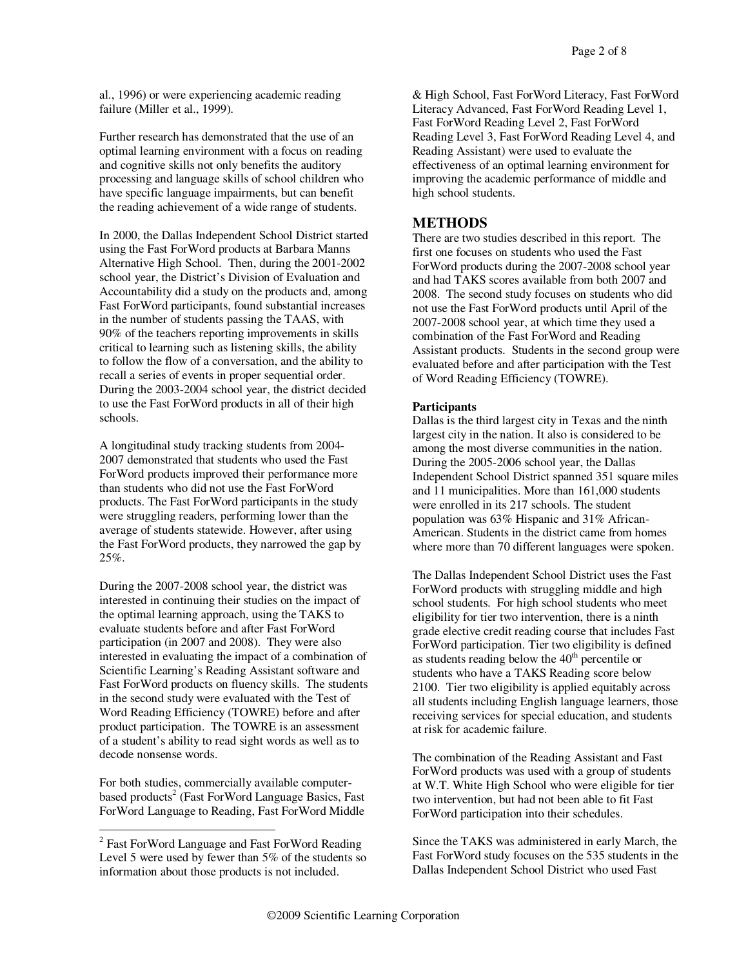al., 1996) or were experiencing academic reading failure (Miller et al., 1999).

Further research has demonstrated that the use of an optimal learning environment with a focus on reading and cognitive skills not only benefits the auditory processing and language skills of school children who have specific language impairments, but can benefit the reading achievement of a wide range of students.

In 2000, the Dallas Independent School District started using the Fast ForWord products at Barbara Manns Alternative High School. Then, during the 2001-2002 school year, the District's Division of Evaluation and Accountability did a study on the products and, among Fast ForWord participants, found substantial increases in the number of students passing the TAAS, with 90% of the teachers reporting improvements in skills critical to learning such as listening skills, the ability to follow the flow of a conversation, and the ability to recall a series of events in proper sequential order. During the 2003-2004 school year, the district decided to use the Fast ForWord products in all of their high schools.

A longitudinal study tracking students from 2004- 2007 demonstrated that students who used the Fast ForWord products improved their performance more than students who did not use the Fast ForWord products. The Fast ForWord participants in the study were struggling readers, performing lower than the average of students statewide. However, after using the Fast ForWord products, they narrowed the gap by 25%.

During the 2007-2008 school year, the district was interested in continuing their studies on the impact of the optimal learning approach, using the TAKS to evaluate students before and after Fast ForWord participation (in 2007 and 2008). They were also interested in evaluating the impact of a combination of Scientific Learning's Reading Assistant software and Fast ForWord products on fluency skills. The students in the second study were evaluated with the Test of Word Reading Efficiency (TOWRE) before and after product participation. The TOWRE is an assessment of a student's ability to read sight words as well as to decode nonsense words.

For both studies, commercially available computerbased products 2 (Fast ForWord Language Basics, Fast ForWord Language to Reading, Fast ForWord Middle

& High School, Fast ForWord Literacy, Fast ForWord Literacy Advanced, Fast ForWord Reading Level 1, Fast ForWord Reading Level 2, Fast ForWord Reading Level 3, Fast ForWord Reading Level 4, and Reading Assistant) were used to evaluate the effectiveness of an optimal learning environment for improving the academic performance of middle and high school students.

## **METHODS**

There are two studies described in this report. The first one focuses on students who used the Fast ForWord products during the 2007-2008 school year and had TAKS scores available from both 2007 and 2008. The second study focuses on students who did not use the Fast ForWord products until April of the 2007-2008 school year, at which time they used a combination of the Fast ForWord and Reading Assistant products. Students in the second group were evaluated before and after participation with the Test of Word Reading Efficiency (TOWRE).

#### **Participants**

Dallas is the third largest city in Texas and the ninth largest city in the nation. It also is considered to be among the most diverse communities in the nation. During the 2005-2006 school year, the Dallas Independent School District spanned 351 square miles and 11 municipalities. More than 161,000 students were enrolled in its 217 schools. The student population was 63% Hispanic and 31% African-American. Students in the district came from homes where more than 70 different languages were spoken.

The Dallas Independent School District uses the Fast ForWord products with struggling middle and high school students. For high school students who meet eligibility for tier two intervention, there is a ninth grade elective credit reading course that includes Fast ForWord participation. Tier two eligibility is defined as students reading below the  $40<sup>th</sup>$  percentile or students who have a TAKS Reading score below 2100. Tier two eligibility is applied equitably across all students including English language learners, those receiving services for special education, and students at risk for academic failure.

The combination of the Reading Assistant and Fast ForWord products was used with a group of students at W.T. White High School who were eligible for tier two intervention, but had not been able to fit Fast ForWord participation into their schedules.

Since the TAKS was administered in early March, the Fast ForWord study focuses on the 535 students in the Dallas Independent School District who used Fast

<sup>&</sup>lt;sup>2</sup> Fast ForWord Language and Fast ForWord Reading Level 5 were used by fewer than 5% of the students so information about those products is not included.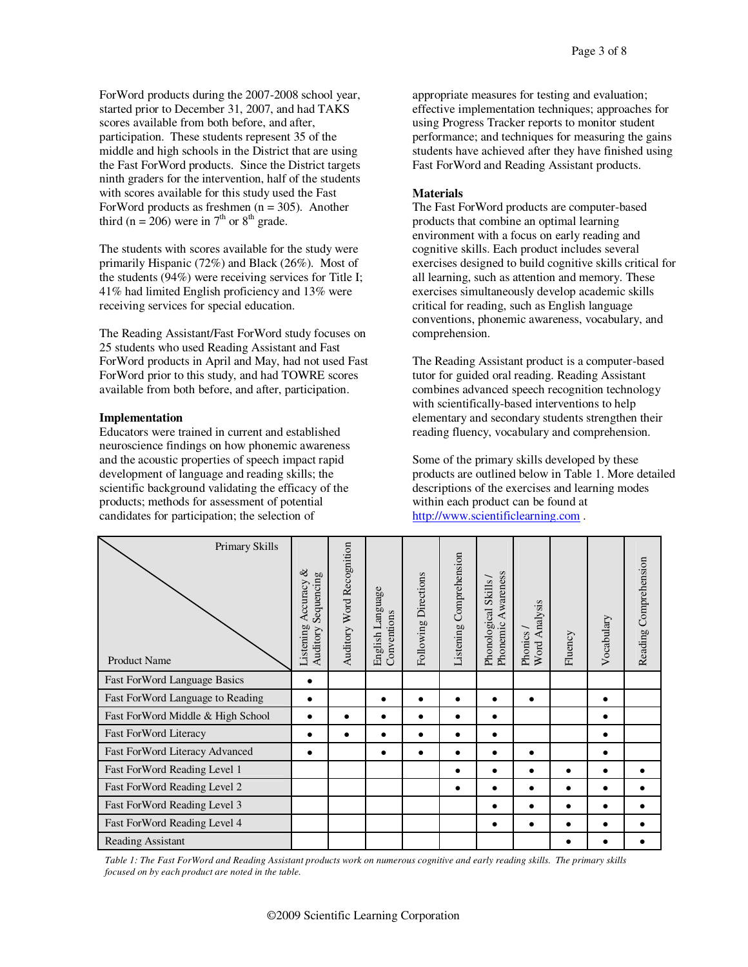ForWord products during the 2007-2008 school year, started prior to December 31, 2007, and had TAKS scores available from both before, and after, participation. These students represent 35 of the middle and high schools in the District that are using the Fast ForWord products. Since the District targets ninth graders for the intervention, half of the students with scores available for this study used the Fast ForWord products as freshmen ( $n = 305$ ). Another third (n = 206) were in  $7<sup>th</sup>$  or  $8<sup>th</sup>$  grade.

The students with scores available for the study were primarily Hispanic (72%) and Black (26%). Most of the students (94%) were receiving services for Title I; 41% had limited English proficiency and 13% were receiving services for special education.

The Reading Assistant/Fast ForWord study focuses on 25 students who used Reading Assistant and Fast ForWord products in April and May, had not used Fast ForWord prior to this study, and had TOWRE scores available from both before, and after, participation.

#### **Implementation**

Educators were trained in current and established neuroscience findings on how phonemic awareness and the acoustic properties of speech impact rapid development of language and reading skills; the scientific background validating the efficacy of the products; methods for assessment of potential candidates for participation; the selection of

appropriate measures for testing and evaluation; effective implementation techniques; approaches for using Progress Tracker reports to monitor student performance; and techniques for measuring the gains students have achieved after they have finished using Fast ForWord and Reading Assistant products.

#### **Materials**

The Fast ForWord products are computer-based products that combine an optimal learning environment with a focus on early reading and cognitive skills. Each product includes several exercises designed to build cognitive skills critical for all learning, such as attention and memory. These exercises simultaneously develop academic skills critical for reading, such as English language conventions, phonemic awareness, vocabulary, and comprehension.

The Reading Assistant product is a computer-based tutor for guided oral reading. Reading Assistant combines advanced speech recognition technology with scientifically-based interventions to help elementary and secondary students strengthen their reading fluency, vocabulary and comprehension.

Some of the primary skills developed by these products are outlined below in Table 1. More detailed descriptions of the exercises and learning modes within each product can be found at http://www.scientificlearning.com .

| Primary Skills<br><b>Product Name</b> | $\infty$<br>Sequencing<br>Accuracy<br>Listening<br>Auditory | Word Recognition<br>Auditory | anguage<br>Conventions<br>English I | Directions<br>Following | Comprehension<br>Listening | Awareness<br>Skills<br>Phonological<br>Phonemic | Analysis<br>Phonics<br>Word. | Fluency | Vocabulary | Reading Comprehension |
|---------------------------------------|-------------------------------------------------------------|------------------------------|-------------------------------------|-------------------------|----------------------------|-------------------------------------------------|------------------------------|---------|------------|-----------------------|
| Fast ForWord Language Basics          |                                                             |                              |                                     |                         |                            |                                                 |                              |         |            |                       |
| Fast ForWord Language to Reading      | $\bullet$                                                   |                              |                                     | $\bullet$               | $\bullet$                  | $\bullet$                                       | $\bullet$                    |         | $\bullet$  |                       |
| Fast ForWord Middle & High School     |                                                             | $\bullet$                    | ٠                                   | ٠                       | $\bullet$                  | $\bullet$                                       |                              |         |            |                       |
| <b>Fast ForWord Literacy</b>          |                                                             |                              |                                     |                         | $\bullet$                  |                                                 |                              |         |            |                       |
| Fast ForWord Literacy Advanced        |                                                             |                              |                                     |                         | $\bullet$                  | ٠                                               | $\bullet$                    |         |            |                       |
| Fast ForWord Reading Level 1          |                                                             |                              |                                     |                         | ٠                          |                                                 | ٠                            |         |            |                       |
| Fast ForWord Reading Level 2          |                                                             |                              |                                     |                         | ٠                          |                                                 | ٠                            |         |            |                       |
| Fast ForWord Reading Level 3          |                                                             |                              |                                     |                         |                            |                                                 | ٠                            |         |            |                       |
| Fast ForWord Reading Level 4          |                                                             |                              |                                     |                         |                            | $\bullet$                                       | $\bullet$                    |         |            |                       |
| <b>Reading Assistant</b>              |                                                             |                              |                                     |                         |                            |                                                 |                              |         |            |                       |

Table 1: The Fast ForWord and Reading Assistant products work on numerous cognitive and early reading skills. The primary skills *focused on by each product are noted in the table.*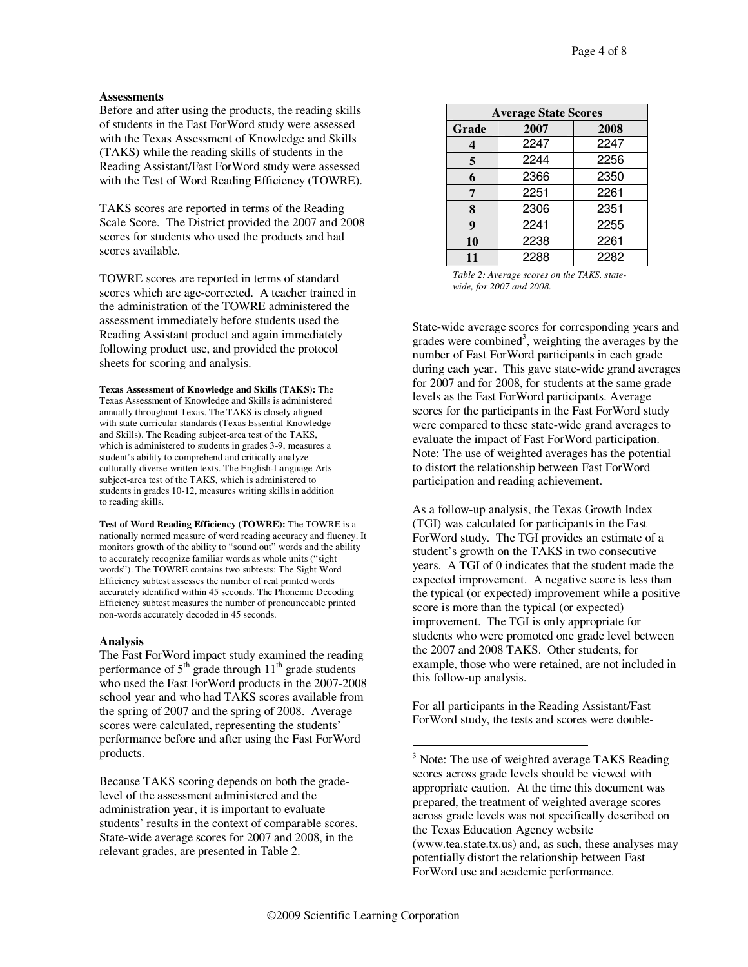#### **Assessments**

Before and after using the products, the reading skills of students in the Fast ForWord study were assessed with the Texas Assessment of Knowledge and Skills (TAKS) while the reading skills of students in the Reading Assistant/Fast ForWord study were assessed with the Test of Word Reading Efficiency (TOWRE).

TAKS scores are reported in terms of the Reading Scale Score. The District provided the 2007 and 2008 scores for students who used the products and had scores available.

TOWRE scores are reported in terms of standard scores which are age-corrected. A teacher trained in the administration of the TOWRE administered the assessment immediately before students used the Reading Assistant product and again immediately following product use, and provided the protocol sheets for scoring and analysis.

**Texas Assessment of Knowledge and Skills (TAKS):** The Texas Assessment of Knowledge and Skills is administered annually throughout Texas. The TAKS is closely aligned with state curricular standards (Texas Essential Knowledge and Skills). The Reading subject-area test of the TAKS, which is administered to students in grades 3-9, measures a student's ability to comprehend and critically analyze culturally diverse written texts. The English-Language Arts subject-area test of the TAKS, which is administered to students in grades 10-12, measures writing skills in addition to reading skills.

**Test of Word Reading Efficiency (TOWRE):** The TOWRE is a nationally normed measure of word reading accuracy and fluency. It monitors growth of the ability to "sound out" words and the ability to accurately recognize familiar words as whole units ("sight words"). The TOWRE contains two subtests: The Sight Word Efficiency subtest assesses the number of real printed words accurately identified within 45 seconds. The Phonemic Decoding Efficiency subtest measures the number of pronounceable printed non-words accurately decoded in 45 seconds.

#### **Analysis**

The Fast ForWord impact study examined the reading performance of  $5<sup>th</sup>$  grade through  $11<sup>th</sup>$  grade students who used the Fast ForWord products in the 2007-2008 school year and who had TAKS scores available from the spring of 2007 and the spring of 2008. Average scores were calculated, representing the students' performance before and after using the Fast ForWord products.

Because TAKS scoring depends on both the gradelevel of the assessment administered and the administration year, it is important to evaluate students' results in the context of comparable scores. State-wide average scores for 2007 and 2008, in the relevant grades, are presented in Table 2.

| <b>Average State Scores</b> |      |      |  |  |  |  |
|-----------------------------|------|------|--|--|--|--|
| Grade                       | 2007 | 2008 |  |  |  |  |
| 4                           | 2247 | 2247 |  |  |  |  |
| 5                           | 2244 | 2256 |  |  |  |  |
| 6                           | 2366 | 2350 |  |  |  |  |
| 7                           | 2251 | 2261 |  |  |  |  |
| 8                           | 2306 | 2351 |  |  |  |  |
| 9                           | 2241 | 2255 |  |  |  |  |
| 10                          | 2238 | 2261 |  |  |  |  |
| 11                          | 2288 | 2282 |  |  |  |  |

*Table 2: Average scores on the TAKS, statewide, for 2007 and 2008.*

State-wide average scores for corresponding years and grades were combined 3 , weighting the averages by the number of Fast ForWord participants in each grade during each year. This gave state-wide grand averages for 2007 and for 2008, for students at the same grade levels as the Fast ForWord participants. Average scores for the participants in the Fast ForWord study were compared to these state-wide grand averages to evaluate the impact of Fast ForWord participation. Note: The use of weighted averages has the potential to distort the relationship between Fast ForWord participation and reading achievement.

As a follow-up analysis, the Texas Growth Index (TGI) was calculated for participants in the Fast ForWord study. The TGI provides an estimate of a student's growth on the TAKS in two consecutive years. A TGI of 0 indicates that the student made the expected improvement. A negative score is less than the typical (or expected) improvement while a positive score is more than the typical (or expected) improvement. The TGI is only appropriate for students who were promoted one grade level between the 2007 and 2008 TAKS. Other students, for example, those who were retained, are not included in this follow-up analysis.

For all participants in the Reading Assistant/Fast ForWord study, the tests and scores were double-

<sup>&</sup>lt;sup>3</sup> Note: The use of weighted average TAKS Reading scores across grade levels should be viewed with appropriate caution. At the time this document was prepared, the treatment of weighted average scores across grade levels was not specifically described on the Texas Education Agency website (www.tea.state.tx.us) and, as such, these analyses may potentially distort the relationship between Fast ForWord use and academic performance.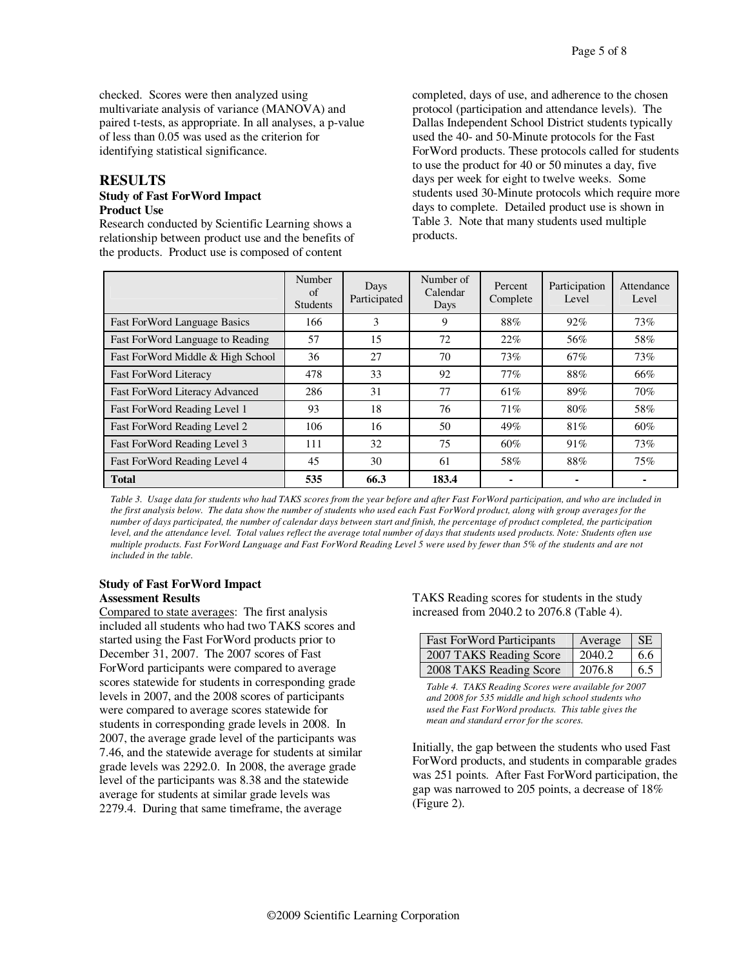checked. Scores were then analyzed using multivariate analysis of variance (MANOVA) and paired t-tests, as appropriate. In all analyses, a p-value of less than 0.05 was used as the criterion for identifying statistical significance.

#### **RESULTS Study of Fast ForWord Impact Product Use**

Research conducted by Scientific Learning shows a relationship between product use and the benefits of the products. Product use is composed of content

completed, days of use, and adherence to the chosen protocol (participation and attendance levels). The Dallas Independent School District students typically used the 40- and 50-Minute protocols for the Fast ForWord products. These protocols called for students to use the product for 40 or 50 minutes a day, five days per week for eight to twelve weeks. Some students used 30-Minute protocols which require more days to complete. Detailed product use is shown in Table 3. Note that many students used multiple products.

|                                   | Number<br>of<br><b>Students</b> | Days<br>Participated | Number of<br>Calendar<br>Days | Percent<br>Complete | Participation<br>Level | Attendance<br>Level |
|-----------------------------------|---------------------------------|----------------------|-------------------------------|---------------------|------------------------|---------------------|
| Fast ForWord Language Basics      | 166                             | 3                    | 9                             | 88%                 | 92%                    | 73%                 |
| Fast ForWord Language to Reading  | 57                              | 15                   | 72                            | 22%                 | 56%                    | 58%                 |
| Fast ForWord Middle & High School | 36                              | 27                   | 70                            | 73%                 | 67%                    | 73%                 |
| <b>Fast ForWord Literacy</b>      | 478                             | 33                   | 92                            | 77%                 | 88%                    | 66%                 |
| Fast ForWord Literacy Advanced    | 286                             | 31                   | 77                            | 61%                 | 89%                    | 70%                 |
| Fast ForWord Reading Level 1      | 93                              | 18                   | 76                            | 71%                 | 80%                    | 58%                 |
| Fast ForWord Reading Level 2      | 106                             | 16                   | 50                            | 49%                 | 81%                    | 60%                 |
| Fast ForWord Reading Level 3      | 111                             | 32                   | 75                            | 60%                 | 91%                    | 73%                 |
| Fast ForWord Reading Level 4      | 45                              | 30                   | 61                            | 58%                 | 88%                    | 75%                 |
| <b>Total</b>                      | 535                             | 66.3                 | 183.4                         |                     |                        |                     |

Table 3. Usage data for students who had TAKS scores from the year before and after Fast ForWord participation, and who are included in the first analysis below. The data show the number of students who used each Fast ForWord product, along with group averages for the number of days participated, the number of calendar days between start and finish, the percentage of product completed, the participation level, and the attendance level. Total values reflect the average total number of days that students used products. Note: Students often use multiple products. Fast ForWord Language and Fast ForWord Reading Level 5 were used by fewer than 5% of the students and are not *included in the table.*

## **Study of Fast ForWord Impact Assessment Results**

Compared to state averages: The first analysis included all students who had two TAKS scores and started using the Fast ForWord products prior to December 31, 2007. The 2007 scores of Fast ForWord participants were compared to average scores statewide for students in corresponding grade levels in 2007, and the 2008 scores of participants were compared to average scores statewide for students in corresponding grade levels in 2008. In 2007, the average grade level of the participants was 7.46, and the statewide average for students at similar grade levels was 2292.0. In 2008, the average grade level of the participants was 8.38 and the statewide average for students at similar grade levels was 2279.4. During that same timeframe, the average

TAKS Reading scores for students in the study increased from 2040.2 to 2076.8 (Table 4).

| <b>Fast ForWord Participants</b> | Average | <b>SE</b> |
|----------------------------------|---------|-----------|
| 2007 TAKS Reading Score          | 2040.2  | 6.6       |
| 2008 TAKS Reading Score          | 2076.8  | 6.5       |

*Table 4. TAKS Reading Scores were available for 2007 and 2008 for 535 middle and high school students who used the Fast ForWord products. This table gives the mean and standard error for the scores.*

Initially, the gap between the students who used Fast ForWord products, and students in comparable grades was 251 points. After Fast ForWord participation, the gap was narrowed to 205 points, a decrease of 18% (Figure 2).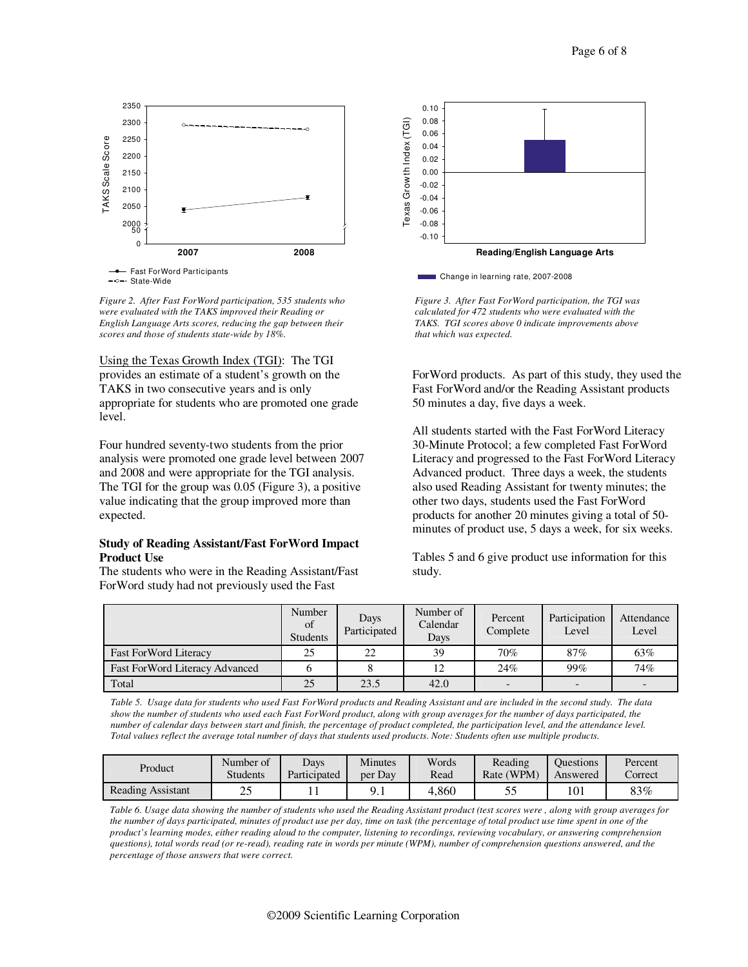

-o- State-Wide

*Figure 2. After Fast ForWord participation, 535 students who were evaluated with the TAKS improved their Reading or English Language Arts scores, reducing the gap between their scores and those of students state-wide by 18%.*

Using the Texas Growth Index (TGI): The TGI provides an estimate of a student's growth on the TAKS in two consecutive years and is only appropriate for students who are promoted one grade level.

Four hundred seventy-two students from the prior analysis were promoted one grade level between 2007 and 2008 and were appropriate for the TGI analysis. The TGI for the group was 0.05 (Figure 3), a positive value indicating that the group improved more than expected.

#### **Study of Reading Assistant/Fast ForWord Impact Product Use**

The students who were in the Reading Assistant/Fast ForWord study had not previously used the Fast



*Figure 3. After Fast ForWord participation, the TGI was calculated for 472 students who were evaluated with the TAKS. TGI scores above 0 indicate improvements above that which was expected.*

ForWord products. As part of this study, they used the Fast ForWord and/or the Reading Assistant products 50 minutes a day, five days a week.

All students started with the Fast ForWord Literacy 30-Minute Protocol; a few completed Fast ForWord Literacy and progressed to the Fast ForWord Literacy Advanced product. Three days a week, the students also used Reading Assistant for twenty minutes; the other two days, students used the Fast ForWord products for another 20 minutes giving a total of 50 minutes of product use, 5 days a week, for six weeks.

Tables 5 and 6 give product use information for this study.

|                                | Number<br>of<br><b>Students</b> | Days<br>Participated | Number of<br>Calendar<br>Days | Percent<br>Complete | Participation<br>Level | Attendance<br>Level |
|--------------------------------|---------------------------------|----------------------|-------------------------------|---------------------|------------------------|---------------------|
| <b>Fast ForWord Literacy</b>   | 25                              | 22                   | 39                            | 70%                 | 87%                    | 63%                 |
| Fast ForWord Literacy Advanced |                                 |                      | 12                            | 24%                 | 99%                    | 74%                 |
| Total                          | 25                              | 23.5                 | 42.0                          |                     |                        |                     |

Table 5. Usage data for students who used Fast ForWord products and Reading Assistant and are included in the second study. The data show the number of students who used each Fast ForWord product, along with group averages for the number of days participated, the number of calendar days between start and finish, the percentage of product completed, the participation level, and the attendance level. Total values reflect the average total number of days that students used products. Note: Students often use multiple products.

| Product                  | Number of       | <b>Days</b>  | <b>Minutes</b> | Words | Reading                  | <b>Ouestions</b> | Percent |
|--------------------------|-----------------|--------------|----------------|-------|--------------------------|------------------|---------|
|                          | <b>Students</b> | Participated | per Day        | Read  | Rate (WPM)               | Answered         | Correct |
| <b>Reading Assistant</b> | $\cap$          |              | , <u>.</u>     | 4.860 | $\overline{\phantom{a}}$ | 101              | $83\%$  |

Table 6. Usage data showing the number of students who used the Reading Assistant product (test scores were, along with group averages for the number of days participated, minutes of product use per day, time on task (the percentage of total product use time spent in one of the product's learning modes, either reading aloud to the computer, listening to recordings, reviewing vocabulary, or answering comprehension questions), total words read (or re-read), reading rate in words per minute (WPM), number of comprehension questions answered, and the *percentage of those answers that were correct.*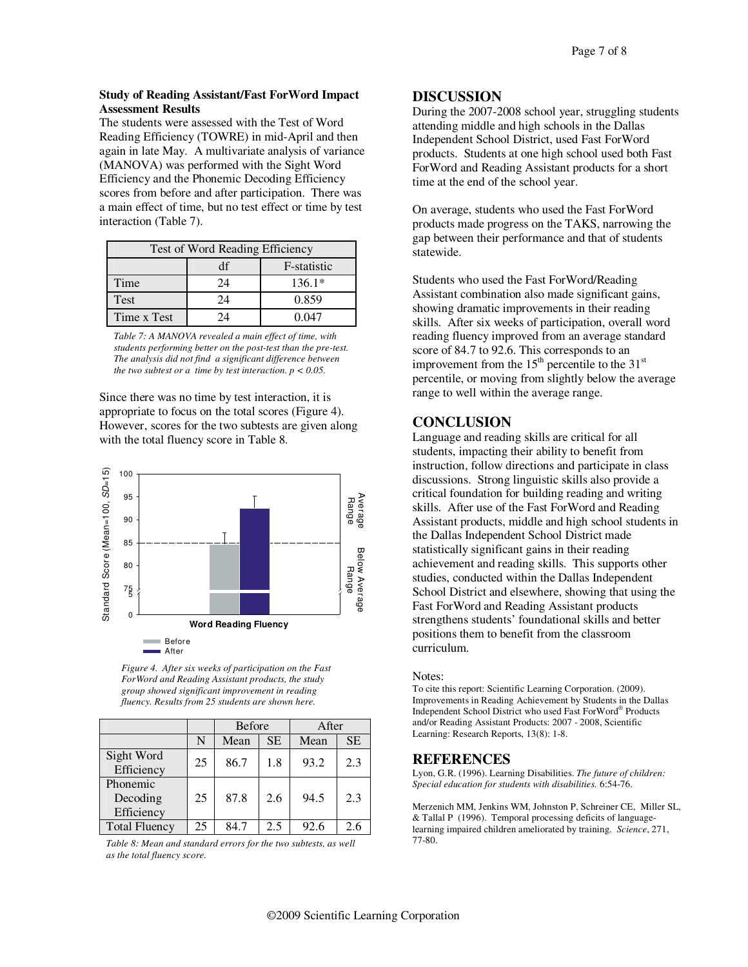#### **Study of Reading Assistant/Fast ForWord Impact Assessment Results**

The students were assessed with the Test of Word Reading Efficiency (TOWRE) in mid-April and then again in late May. A multivariate analysis of variance (MANOVA) was performed with the Sight Word Efficiency and the Phonemic Decoding Efficiency scores from before and after participation. There was a main effect of time, but no test effect or time by test interaction (Table 7).

|             | Test of Word Reading Efficiency |             |  |  |  |  |
|-------------|---------------------------------|-------------|--|--|--|--|
|             | df                              | F-statistic |  |  |  |  |
| Time        | 24                              | $136.1*$    |  |  |  |  |
| Test        | 24                              | 0.859       |  |  |  |  |
| Time x Test | 74                              | በ በ47       |  |  |  |  |

*Table 7: A MANOVA revealed a main effect of time, with students performing better on the post-test than the pre-test. The analysis did not find a significant difference between the two subtest or a time by test interaction.*  $p < 0.05$ .

Since there was no time by test interaction, it is appropriate to focus on the total scores (Figure 4). However, scores for the two subtests are given along with the total fluency score in Table 8.



*Figure 4. After six weeks of participation on the Fast ForWord and Reading Assistant products, the study group showed significant improvement in reading fluency. Results from 25 students are shown here.*

|                                    |    | <b>Before</b> |           | After |           |
|------------------------------------|----|---------------|-----------|-------|-----------|
|                                    | N  | Mean          | <b>SE</b> | Mean  | <b>SE</b> |
| Sight Word<br>Efficiency           | 25 | 86.7          | 1.8       | 93.2  | 2.3       |
| Phonemic<br>Decoding<br>Efficiency | 25 | 87.8          | 2.6       | 94.5  | 2.3       |
| <b>Total Fluency</b>               | 25 | 84.7          | 2.5       | 92.6  | 2.6       |

*Table 8: Mean and standard errors for the two subtests, as well as the total fluency score.*

## **DISCUSSION**

During the 2007-2008 school year, struggling students attending middle and high schools in the Dallas Independent School District, used Fast ForWord products. Students at one high school used both Fast ForWord and Reading Assistant products for a short time at the end of the school year.

On average, students who used the Fast ForWord products made progress on the TAKS, narrowing the gap between their performance and that of students statewide.

Students who used the Fast ForWord/Reading Assistant combination also made significant gains, showing dramatic improvements in their reading skills. After six weeks of participation, overall word reading fluency improved from an average standard score of 84.7 to 92.6. This corresponds to an improvement from the  $15<sup>th</sup>$  percentile to the  $31<sup>st</sup>$ percentile, or moving from slightly below the average range to well within the average range.

## **CONCLUSION**

Language and reading skills are critical for all students, impacting their ability to benefit from instruction, follow directions and participate in class discussions. Strong linguistic skills also provide a critical foundation for building reading and writing skills. After use of the Fast ForWord and Reading Assistant products, middle and high school students in the Dallas Independent School District made statistically significant gains in their reading achievement and reading skills. This supports other studies, conducted within the Dallas Independent School District and elsewhere, showing that using the Fast ForWord and Reading Assistant products strengthens students' foundational skills and better positions them to benefit from the classroom curriculum.

#### Notes:

To cite this report: Scientific Learning Corporation. (2009). Improvements in Reading Achievement by Students in the Dallas Independent School District who used Fast ForWord ® Products and/or Reading Assistant Products: 2007 - 2008, Scientific Learning: Research Reports, 13(8): 1-8.

## **REFERENCES**

Lyon, G.R. (1996). Learning Disabilities. *The future of children: Special education for students with disabilities.* 6:54-76.

Merzenich MM, Jenkins WM, Johnston P, Schreiner CE, Miller SL, & Tallal P (1996). Temporal processing deficits of languagelearning impaired children ameliorated by training. *Science*, 271, 77-80.